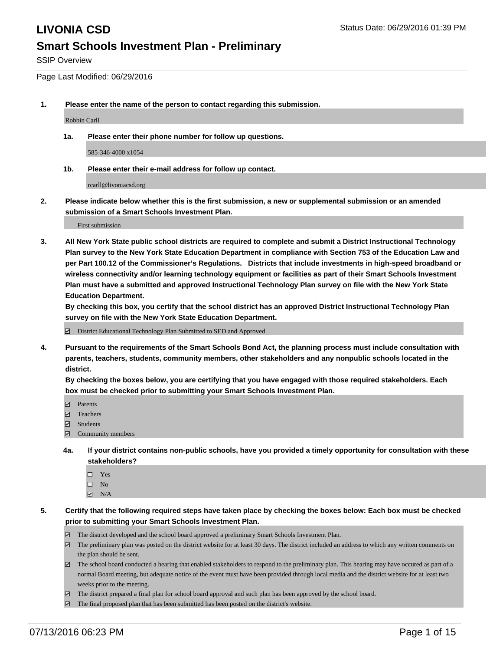SSIP Overview

Page Last Modified: 06/29/2016

**1. Please enter the name of the person to contact regarding this submission.**

Robbin Carll

**1a. Please enter their phone number for follow up questions.**

585-346-4000 x1054

**1b. Please enter their e-mail address for follow up contact.**

rcarll@livoniacsd.org

**2. Please indicate below whether this is the first submission, a new or supplemental submission or an amended submission of a Smart Schools Investment Plan.**

First submission

**3. All New York State public school districts are required to complete and submit a District Instructional Technology Plan survey to the New York State Education Department in compliance with Section 753 of the Education Law and per Part 100.12 of the Commissioner's Regulations. Districts that include investments in high-speed broadband or wireless connectivity and/or learning technology equipment or facilities as part of their Smart Schools Investment Plan must have a submitted and approved Instructional Technology Plan survey on file with the New York State Education Department.** 

**By checking this box, you certify that the school district has an approved District Instructional Technology Plan survey on file with the New York State Education Department.**

District Educational Technology Plan Submitted to SED and Approved

**4. Pursuant to the requirements of the Smart Schools Bond Act, the planning process must include consultation with parents, teachers, students, community members, other stakeholders and any nonpublic schools located in the district.** 

**By checking the boxes below, you are certifying that you have engaged with those required stakeholders. Each box must be checked prior to submitting your Smart Schools Investment Plan.**

- **Parents**
- Teachers
- $\blacksquare$  Students
- Community members
- **4a. If your district contains non-public schools, have you provided a timely opportunity for consultation with these stakeholders?**
	- $\Box$  Yes  $\square$  No
	- $\boxtimes$  N/A
- **5. Certify that the following required steps have taken place by checking the boxes below: Each box must be checked prior to submitting your Smart Schools Investment Plan.**
	- The district developed and the school board approved a preliminary Smart Schools Investment Plan.
	- The preliminary plan was posted on the district website for at least 30 days. The district included an address to which any written comments on the plan should be sent.
	- $\Box$  The school board conducted a hearing that enabled stakeholders to respond to the preliminary plan. This hearing may have occured as part of a normal Board meeting, but adequate notice of the event must have been provided through local media and the district website for at least two weeks prior to the meeting.
	- The district prepared a final plan for school board approval and such plan has been approved by the school board.
	- $\boxdot$  The final proposed plan that has been submitted has been posted on the district's website.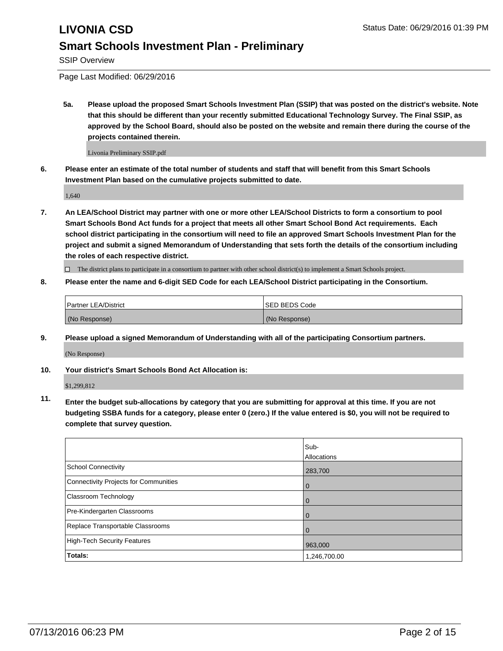SSIP Overview

Page Last Modified: 06/29/2016

**5a. Please upload the proposed Smart Schools Investment Plan (SSIP) that was posted on the district's website. Note that this should be different than your recently submitted Educational Technology Survey. The Final SSIP, as approved by the School Board, should also be posted on the website and remain there during the course of the projects contained therein.**

Livonia Preliminary SSIP.pdf

**6. Please enter an estimate of the total number of students and staff that will benefit from this Smart Schools Investment Plan based on the cumulative projects submitted to date.**

1,640

**7. An LEA/School District may partner with one or more other LEA/School Districts to form a consortium to pool Smart Schools Bond Act funds for a project that meets all other Smart School Bond Act requirements. Each school district participating in the consortium will need to file an approved Smart Schools Investment Plan for the project and submit a signed Memorandum of Understanding that sets forth the details of the consortium including the roles of each respective district.**

 $\Box$  The district plans to participate in a consortium to partner with other school district(s) to implement a Smart Schools project.

**8. Please enter the name and 6-digit SED Code for each LEA/School District participating in the Consortium.**

| <b>Partner LEA/District</b> | ISED BEDS Code |
|-----------------------------|----------------|
| (No Response)               | (No Response)  |

**9. Please upload a signed Memorandum of Understanding with all of the participating Consortium partners.**

(No Response)

**10. Your district's Smart Schools Bond Act Allocation is:**

\$1,299,812

**11. Enter the budget sub-allocations by category that you are submitting for approval at this time. If you are not budgeting SSBA funds for a category, please enter 0 (zero.) If the value entered is \$0, you will not be required to complete that survey question.**

|                                       | Sub-         |
|---------------------------------------|--------------|
|                                       | Allocations  |
| <b>School Connectivity</b>            | 283,700      |
| Connectivity Projects for Communities | $\Omega$     |
| <b>Classroom Technology</b>           | $\mathbf 0$  |
| Pre-Kindergarten Classrooms           | $\Omega$     |
| Replace Transportable Classrooms      | 0            |
| High-Tech Security Features           | 963,000      |
| Totals:                               | 1,246,700.00 |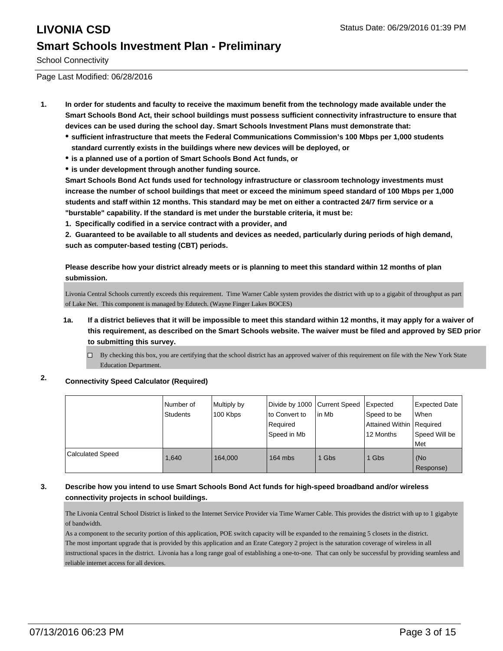School Connectivity

Page Last Modified: 06/28/2016

- **1. In order for students and faculty to receive the maximum benefit from the technology made available under the Smart Schools Bond Act, their school buildings must possess sufficient connectivity infrastructure to ensure that devices can be used during the school day. Smart Schools Investment Plans must demonstrate that:**
	- **sufficient infrastructure that meets the Federal Communications Commission's 100 Mbps per 1,000 students standard currently exists in the buildings where new devices will be deployed, or**
	- **is a planned use of a portion of Smart Schools Bond Act funds, or**
	- **is under development through another funding source.**

**Smart Schools Bond Act funds used for technology infrastructure or classroom technology investments must increase the number of school buildings that meet or exceed the minimum speed standard of 100 Mbps per 1,000 students and staff within 12 months. This standard may be met on either a contracted 24/7 firm service or a "burstable" capability. If the standard is met under the burstable criteria, it must be:**

**1. Specifically codified in a service contract with a provider, and**

**2. Guaranteed to be available to all students and devices as needed, particularly during periods of high demand, such as computer-based testing (CBT) periods.**

**Please describe how your district already meets or is planning to meet this standard within 12 months of plan submission.**

Livonia Central Schools currently exceeds this requirement. Time Warner Cable system provides the district with up to a gigabit of throughput as part of Lake Net. This component is managed by Edutech. (Wayne Finger Lakes BOCES)

- **1a. If a district believes that it will be impossible to meet this standard within 12 months, it may apply for a waiver of this requirement, as described on the Smart Schools website. The waiver must be filed and approved by SED prior to submitting this survey.**
	- $\Box$  By checking this box, you are certifying that the school district has an approved waiver of this requirement on file with the New York State Education Department.

### **2. Connectivity Speed Calculator (Required)**

|                         | INumber of<br><b>Students</b> | Multiply by<br>100 Kbps | Divide by 1000 Current Speed<br>to Convert to<br>l Reauired<br>Speed in Mb | lin Mb | Expected<br>Speed to be<br>Attained Within Required<br>12 Months | Expected Date<br>l When<br>Speed Will be<br>Met |
|-------------------------|-------------------------------|-------------------------|----------------------------------------------------------------------------|--------|------------------------------------------------------------------|-------------------------------------------------|
| <b>Calculated Speed</b> | 1.640                         | 164,000                 | $164$ mbs                                                                  | Gbs    | 1 Gbs                                                            | (No<br>Response)                                |

### **3. Describe how you intend to use Smart Schools Bond Act funds for high-speed broadband and/or wireless connectivity projects in school buildings.**

The Livonia Central School District is linked to the Internet Service Provider via Time Warner Cable. This provides the district with up to 1 gigabyte of bandwidth.

As a component to the security portion of this application, POE switch capacity will be expanded to the remaining 5 closets in the district. The most important upgrade that is provided by this application and an Erate Category 2 project is the saturation coverage of wireless in all instructional spaces in the district. Livonia has a long range goal of establishing a one-to-one. That can only be successful by providing seamless and reliable internet access for all devices.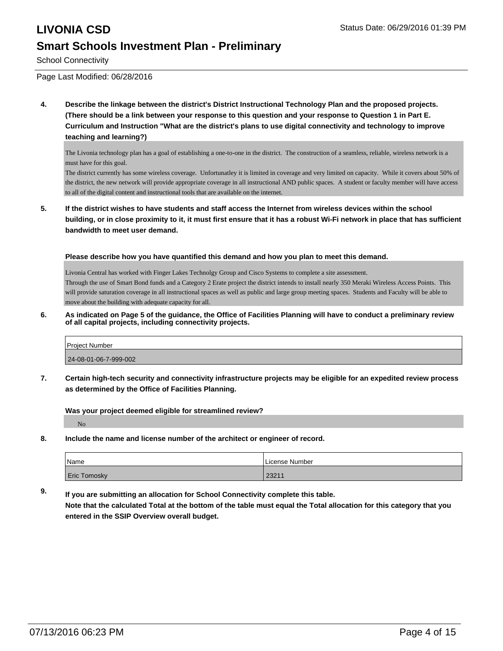School Connectivity

Page Last Modified: 06/28/2016

**4. Describe the linkage between the district's District Instructional Technology Plan and the proposed projects. (There should be a link between your response to this question and your response to Question 1 in Part E. Curriculum and Instruction "What are the district's plans to use digital connectivity and technology to improve teaching and learning?)**

The Livonia technology plan has a goal of establishing a one-to-one in the district. The construction of a seamless, reliable, wireless network is a must have for this goal.

The district currently has some wireless coverage. Unfortunatley it is limited in coverage and very limited on capacity. While it covers about 50% of the district, the new network will provide appropriate coverage in all instructional AND public spaces. A student or faculty member will have access to all of the digital content and instructional tools that are available on the internet.

**5. If the district wishes to have students and staff access the Internet from wireless devices within the school building, or in close proximity to it, it must first ensure that it has a robust Wi-Fi network in place that has sufficient bandwidth to meet user demand.**

**Please describe how you have quantified this demand and how you plan to meet this demand.**

Livonia Central has worked with Finger Lakes Technolgy Group and Cisco Systems to complete a site assessment. Through the use of Smart Bond funds and a Category 2 Erate project the district intends to install nearly 350 Meraki Wireless Access Points. This will provide saturation coverage in all instructional spaces as well as public and large group meeting spaces. Students and Faculty will be able to move about the building with adequate capacity for all.

### **6. As indicated on Page 5 of the guidance, the Office of Facilities Planning will have to conduct a preliminary review of all capital projects, including connectivity projects.**

| <b>Project Number</b> |  |
|-----------------------|--|
| 24-08-01-06-7-999-002 |  |

**7. Certain high-tech security and connectivity infrastructure projects may be eligible for an expedited review process as determined by the Office of Facilities Planning.**

**Was your project deemed eligible for streamlined review?**

No

**8. Include the name and license number of the architect or engineer of record.**

| <i>N</i> ame        | License Number |
|---------------------|----------------|
| <b>Eric Tomosky</b> | 23211          |

**9. If you are submitting an allocation for School Connectivity complete this table. Note that the calculated Total at the bottom of the table must equal the Total allocation for this category that you entered in the SSIP Overview overall budget.**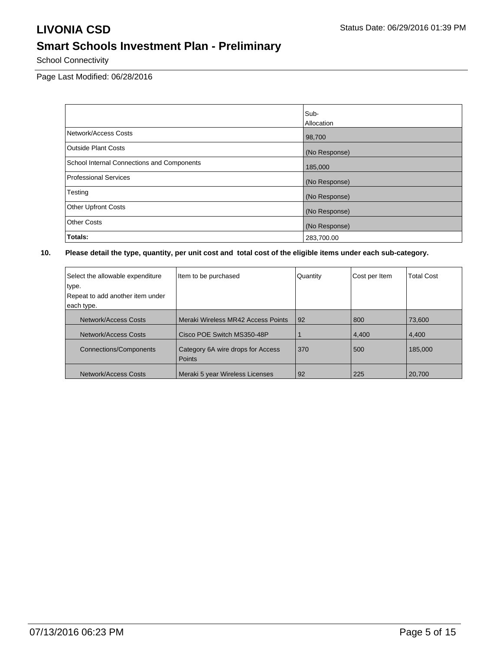School Connectivity

Page Last Modified: 06/28/2016

|                                            | Sub-          |
|--------------------------------------------|---------------|
|                                            | Allocation    |
| Network/Access Costs                       | 98,700        |
| <b>Outside Plant Costs</b>                 | (No Response) |
| School Internal Connections and Components | 185,000       |
| Professional Services                      | (No Response) |
| Testing                                    | (No Response) |
| <b>Other Upfront Costs</b>                 | (No Response) |
| <b>Other Costs</b>                         | (No Response) |
| Totals:                                    | 283,700.00    |

| Select the allowable expenditure<br>type.<br>Repeat to add another item under<br>each type. | Item to be purchased                        | Quantity | Cost per Item | <b>Total Cost</b> |
|---------------------------------------------------------------------------------------------|---------------------------------------------|----------|---------------|-------------------|
| Network/Access Costs                                                                        | Meraki Wireless MR42 Access Points          | 92       | 800           | 73.600            |
| Network/Access Costs                                                                        | Cisco POE Switch MS350-48P                  |          | 4,400         | 4,400             |
| <b>Connections/Components</b>                                                               | Category 6A wire drops for Access<br>Points | 370      | 500           | 185,000           |
| Network/Access Costs                                                                        | Meraki 5 year Wireless Licenses             | 92       | 225           | 20,700            |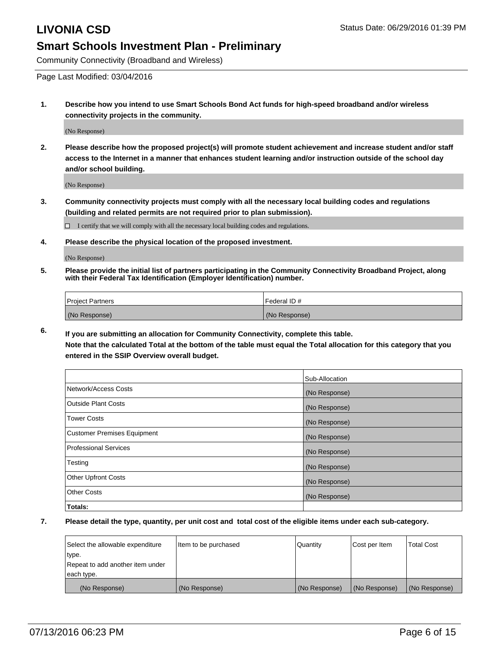Community Connectivity (Broadband and Wireless)

Page Last Modified: 03/04/2016

**1. Describe how you intend to use Smart Schools Bond Act funds for high-speed broadband and/or wireless connectivity projects in the community.**

(No Response)

**2. Please describe how the proposed project(s) will promote student achievement and increase student and/or staff access to the Internet in a manner that enhances student learning and/or instruction outside of the school day and/or school building.**

(No Response)

**3. Community connectivity projects must comply with all the necessary local building codes and regulations (building and related permits are not required prior to plan submission).**

 $\Box$  I certify that we will comply with all the necessary local building codes and regulations.

**4. Please describe the physical location of the proposed investment.**

(No Response)

**5. Please provide the initial list of partners participating in the Community Connectivity Broadband Project, along with their Federal Tax Identification (Employer Identification) number.**

| Project Partners | I Federal ID # |
|------------------|----------------|
| (No Response)    | (No Response)  |

**6. If you are submitting an allocation for Community Connectivity, complete this table. Note that the calculated Total at the bottom of the table must equal the Total allocation for this category that you**

**entered in the SSIP Overview overall budget.**

|                             | Sub-Allocation |
|-----------------------------|----------------|
| Network/Access Costs        | (No Response)  |
| <b>Outside Plant Costs</b>  | (No Response)  |
| Tower Costs                 | (No Response)  |
| Customer Premises Equipment | (No Response)  |
| Professional Services       | (No Response)  |
| Testing                     | (No Response)  |
| <b>Other Upfront Costs</b>  | (No Response)  |
| Other Costs                 | (No Response)  |
| Totals:                     |                |

| Select the allowable expenditure | Item to be purchased | Quantity      | Cost per Item | <b>Total Cost</b> |
|----------------------------------|----------------------|---------------|---------------|-------------------|
| type.                            |                      |               |               |                   |
| Repeat to add another item under |                      |               |               |                   |
| each type.                       |                      |               |               |                   |
| (No Response)                    | (No Response)        | (No Response) | (No Response) | (No Response)     |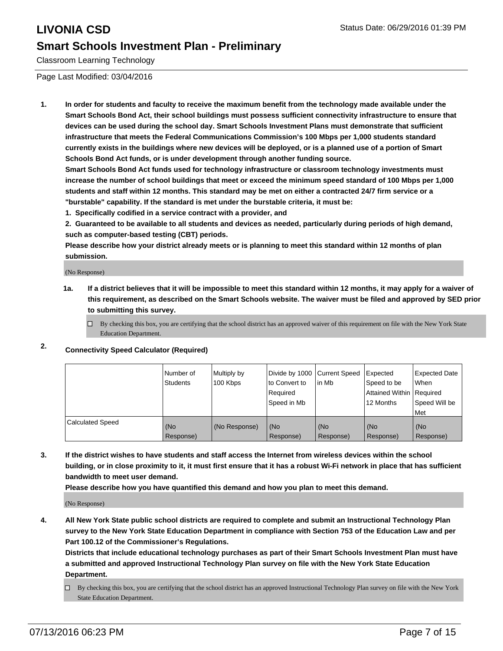Classroom Learning Technology

Page Last Modified: 03/04/2016

**1. In order for students and faculty to receive the maximum benefit from the technology made available under the Smart Schools Bond Act, their school buildings must possess sufficient connectivity infrastructure to ensure that devices can be used during the school day. Smart Schools Investment Plans must demonstrate that sufficient infrastructure that meets the Federal Communications Commission's 100 Mbps per 1,000 students standard currently exists in the buildings where new devices will be deployed, or is a planned use of a portion of Smart Schools Bond Act funds, or is under development through another funding source.**

**Smart Schools Bond Act funds used for technology infrastructure or classroom technology investments must increase the number of school buildings that meet or exceed the minimum speed standard of 100 Mbps per 1,000 students and staff within 12 months. This standard may be met on either a contracted 24/7 firm service or a "burstable" capability. If the standard is met under the burstable criteria, it must be:**

**1. Specifically codified in a service contract with a provider, and**

**2. Guaranteed to be available to all students and devices as needed, particularly during periods of high demand, such as computer-based testing (CBT) periods.**

**Please describe how your district already meets or is planning to meet this standard within 12 months of plan submission.**

(No Response)

- **1a. If a district believes that it will be impossible to meet this standard within 12 months, it may apply for a waiver of this requirement, as described on the Smart Schools website. The waiver must be filed and approved by SED prior to submitting this survey.**
	- $\Box$  By checking this box, you are certifying that the school district has an approved waiver of this requirement on file with the New York State Education Department.
- **2. Connectivity Speed Calculator (Required)**

|                         | INumber of<br>Students | Multiply by<br>100 Kbps | Ito Convert to<br>Reauired<br>Speed in Mb | Divide by 1000 Current Speed Expected<br>lin Mb | Speed to be<br>Attained Within   Required<br>12 Months | <b>Expected Date</b><br>l When<br>Speed Will be<br>Met |
|-------------------------|------------------------|-------------------------|-------------------------------------------|-------------------------------------------------|--------------------------------------------------------|--------------------------------------------------------|
| <b>Calculated Speed</b> | (No<br>Response)       | (No Response)           | (No<br>Response)                          | (No<br>Response)                                | l (No<br>Response)                                     | (No<br>Response)                                       |

**3. If the district wishes to have students and staff access the Internet from wireless devices within the school building, or in close proximity to it, it must first ensure that it has a robust Wi-Fi network in place that has sufficient bandwidth to meet user demand.**

**Please describe how you have quantified this demand and how you plan to meet this demand.**

(No Response)

**4. All New York State public school districts are required to complete and submit an Instructional Technology Plan survey to the New York State Education Department in compliance with Section 753 of the Education Law and per Part 100.12 of the Commissioner's Regulations.**

**Districts that include educational technology purchases as part of their Smart Schools Investment Plan must have a submitted and approved Instructional Technology Plan survey on file with the New York State Education Department.**

By checking this box, you are certifying that the school district has an approved Instructional Technology Plan survey on file with the New York State Education Department.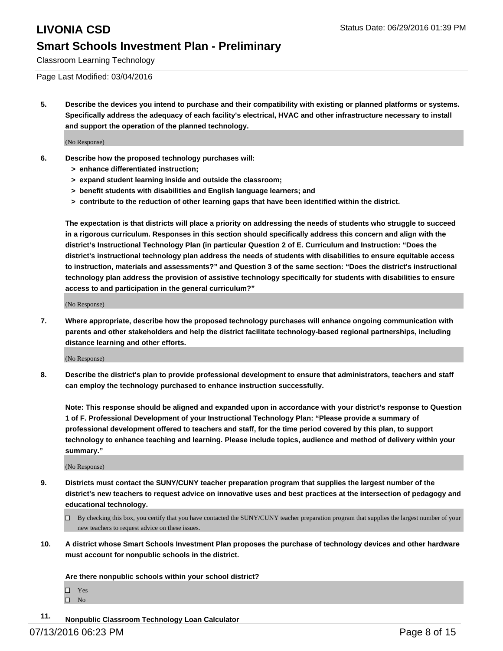Classroom Learning Technology

Page Last Modified: 03/04/2016

**5. Describe the devices you intend to purchase and their compatibility with existing or planned platforms or systems. Specifically address the adequacy of each facility's electrical, HVAC and other infrastructure necessary to install and support the operation of the planned technology.**

(No Response)

- **6. Describe how the proposed technology purchases will:**
	- **> enhance differentiated instruction;**
	- **> expand student learning inside and outside the classroom;**
	- **> benefit students with disabilities and English language learners; and**
	- **> contribute to the reduction of other learning gaps that have been identified within the district.**

**The expectation is that districts will place a priority on addressing the needs of students who struggle to succeed in a rigorous curriculum. Responses in this section should specifically address this concern and align with the district's Instructional Technology Plan (in particular Question 2 of E. Curriculum and Instruction: "Does the district's instructional technology plan address the needs of students with disabilities to ensure equitable access to instruction, materials and assessments?" and Question 3 of the same section: "Does the district's instructional technology plan address the provision of assistive technology specifically for students with disabilities to ensure access to and participation in the general curriculum?"**

(No Response)

**7. Where appropriate, describe how the proposed technology purchases will enhance ongoing communication with parents and other stakeholders and help the district facilitate technology-based regional partnerships, including distance learning and other efforts.**

(No Response)

**8. Describe the district's plan to provide professional development to ensure that administrators, teachers and staff can employ the technology purchased to enhance instruction successfully.**

**Note: This response should be aligned and expanded upon in accordance with your district's response to Question 1 of F. Professional Development of your Instructional Technology Plan: "Please provide a summary of professional development offered to teachers and staff, for the time period covered by this plan, to support technology to enhance teaching and learning. Please include topics, audience and method of delivery within your summary."**

(No Response)

- **9. Districts must contact the SUNY/CUNY teacher preparation program that supplies the largest number of the district's new teachers to request advice on innovative uses and best practices at the intersection of pedagogy and educational technology.**
	- $\Box$  By checking this box, you certify that you have contacted the SUNY/CUNY teacher preparation program that supplies the largest number of your new teachers to request advice on these issues.
- **10. A district whose Smart Schools Investment Plan proposes the purchase of technology devices and other hardware must account for nonpublic schools in the district.**

**Are there nonpublic schools within your school district?**

Yes  $\hfill \square$  No

**11. Nonpublic Classroom Technology Loan Calculator**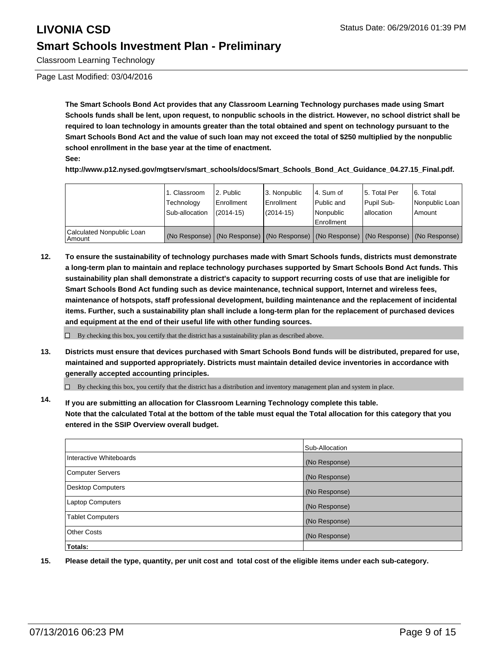Classroom Learning Technology

Page Last Modified: 03/04/2016

**The Smart Schools Bond Act provides that any Classroom Learning Technology purchases made using Smart Schools funds shall be lent, upon request, to nonpublic schools in the district. However, no school district shall be required to loan technology in amounts greater than the total obtained and spent on technology pursuant to the Smart Schools Bond Act and the value of such loan may not exceed the total of \$250 multiplied by the nonpublic school enrollment in the base year at the time of enactment.**

**See:**

**http://www.p12.nysed.gov/mgtserv/smart\_schools/docs/Smart\_Schools\_Bond\_Act\_Guidance\_04.27.15\_Final.pdf.**

|                                     | 1. Classroom<br>Technology<br>Sub-allocation | 2. Public<br>Enrollment<br>$(2014 - 15)$ | 3. Nonpublic<br>l Enrollment<br>$(2014 - 15)$ | l 4. Sum of<br>l Public and<br>l Nonpublic<br>Enrollment                                      | 5. Total Per<br>Pupil Sub-<br>lallocation | 6. Total<br>Nonpublic Loan<br>l Amount |
|-------------------------------------|----------------------------------------------|------------------------------------------|-----------------------------------------------|-----------------------------------------------------------------------------------------------|-------------------------------------------|----------------------------------------|
| Calculated Nonpublic Loan<br>Amount |                                              |                                          |                                               | (No Response)   (No Response)   (No Response)   (No Response)   (No Response)   (No Response) |                                           |                                        |

**12. To ensure the sustainability of technology purchases made with Smart Schools funds, districts must demonstrate a long-term plan to maintain and replace technology purchases supported by Smart Schools Bond Act funds. This sustainability plan shall demonstrate a district's capacity to support recurring costs of use that are ineligible for Smart Schools Bond Act funding such as device maintenance, technical support, Internet and wireless fees, maintenance of hotspots, staff professional development, building maintenance and the replacement of incidental items. Further, such a sustainability plan shall include a long-term plan for the replacement of purchased devices and equipment at the end of their useful life with other funding sources.**

 $\Box$  By checking this box, you certify that the district has a sustainability plan as described above.

**13. Districts must ensure that devices purchased with Smart Schools Bond funds will be distributed, prepared for use, maintained and supported appropriately. Districts must maintain detailed device inventories in accordance with generally accepted accounting principles.**

 $\Box$  By checking this box, you certify that the district has a distribution and inventory management plan and system in place.

**14. If you are submitting an allocation for Classroom Learning Technology complete this table. Note that the calculated Total at the bottom of the table must equal the Total allocation for this category that you entered in the SSIP Overview overall budget.**

|                         | Sub-Allocation |
|-------------------------|----------------|
| Interactive Whiteboards | (No Response)  |
| Computer Servers        | (No Response)  |
| Desktop Computers       | (No Response)  |
| Laptop Computers        | (No Response)  |
| <b>Tablet Computers</b> | (No Response)  |
| Other Costs             | (No Response)  |
| Totals:                 |                |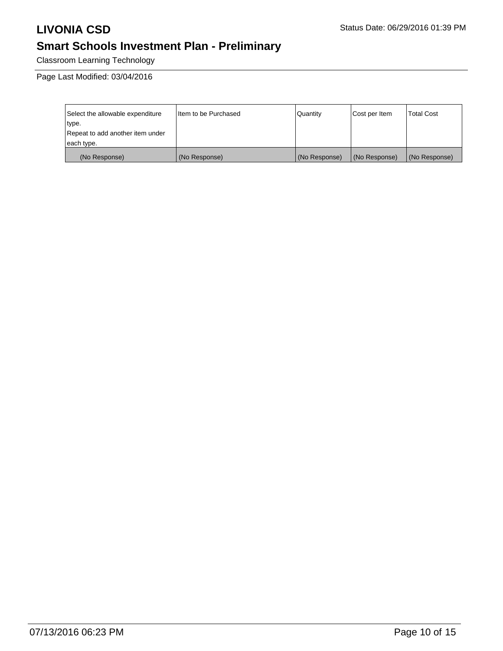Classroom Learning Technology

Page Last Modified: 03/04/2016

| Select the allowable expenditure | I Item to be Purchased | l Quantitv    | Cost per Item | <b>Total Cost</b> |
|----------------------------------|------------------------|---------------|---------------|-------------------|
| type.                            |                        |               |               |                   |
| Repeat to add another item under |                        |               |               |                   |
| each type.                       |                        |               |               |                   |
| (No Response)                    | (No Response)          | (No Response) | (No Response) | (No Response)     |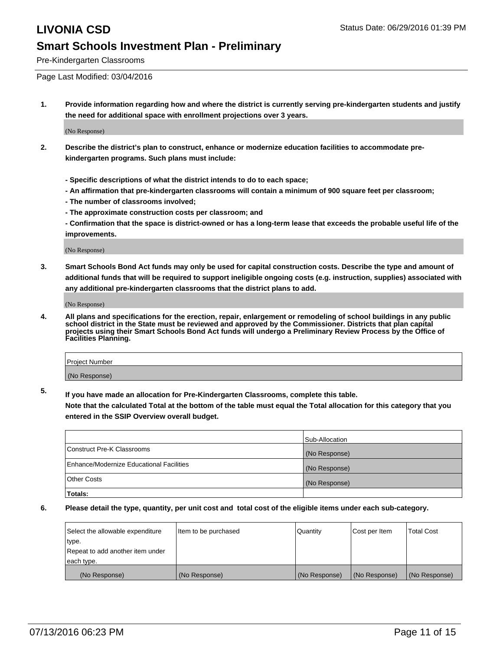Pre-Kindergarten Classrooms

Page Last Modified: 03/04/2016

**1. Provide information regarding how and where the district is currently serving pre-kindergarten students and justify the need for additional space with enrollment projections over 3 years.**

(No Response)

- **2. Describe the district's plan to construct, enhance or modernize education facilities to accommodate prekindergarten programs. Such plans must include:**
	- **Specific descriptions of what the district intends to do to each space;**
	- **An affirmation that pre-kindergarten classrooms will contain a minimum of 900 square feet per classroom;**
	- **The number of classrooms involved;**
	- **The approximate construction costs per classroom; and**
	- **Confirmation that the space is district-owned or has a long-term lease that exceeds the probable useful life of the improvements.**

(No Response)

**3. Smart Schools Bond Act funds may only be used for capital construction costs. Describe the type and amount of additional funds that will be required to support ineligible ongoing costs (e.g. instruction, supplies) associated with any additional pre-kindergarten classrooms that the district plans to add.**

(No Response)

**4. All plans and specifications for the erection, repair, enlargement or remodeling of school buildings in any public school district in the State must be reviewed and approved by the Commissioner. Districts that plan capital projects using their Smart Schools Bond Act funds will undergo a Preliminary Review Process by the Office of Facilities Planning.**

| Project Number |  |
|----------------|--|
| (No Response)  |  |

**5. If you have made an allocation for Pre-Kindergarten Classrooms, complete this table.**

**Note that the calculated Total at the bottom of the table must equal the Total allocation for this category that you entered in the SSIP Overview overall budget.**

|                                          | Sub-Allocation |
|------------------------------------------|----------------|
| Construct Pre-K Classrooms               | (No Response)  |
| Enhance/Modernize Educational Facilities | (No Response)  |
| <b>Other Costs</b>                       | (No Response)  |
| Totals:                                  |                |

| Select the allowable expenditure | litem to be purchased | Quantity      | Cost per Item | <b>Total Cost</b> |
|----------------------------------|-----------------------|---------------|---------------|-------------------|
| type.                            |                       |               |               |                   |
| Repeat to add another item under |                       |               |               |                   |
| each type.                       |                       |               |               |                   |
| (No Response)                    | (No Response)         | (No Response) | (No Response) | (No Response)     |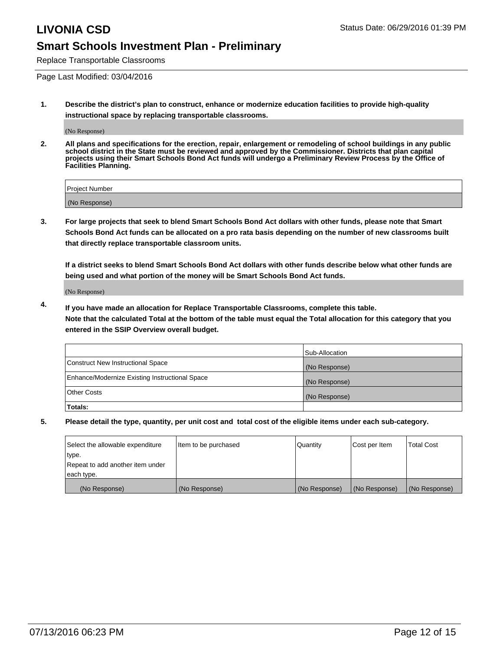Replace Transportable Classrooms

Page Last Modified: 03/04/2016

**1. Describe the district's plan to construct, enhance or modernize education facilities to provide high-quality instructional space by replacing transportable classrooms.**

(No Response)

**2. All plans and specifications for the erection, repair, enlargement or remodeling of school buildings in any public school district in the State must be reviewed and approved by the Commissioner. Districts that plan capital projects using their Smart Schools Bond Act funds will undergo a Preliminary Review Process by the Office of Facilities Planning.**

| <b>Project Number</b> |  |
|-----------------------|--|
| (No Response)         |  |

**3. For large projects that seek to blend Smart Schools Bond Act dollars with other funds, please note that Smart Schools Bond Act funds can be allocated on a pro rata basis depending on the number of new classrooms built that directly replace transportable classroom units.**

**If a district seeks to blend Smart Schools Bond Act dollars with other funds describe below what other funds are being used and what portion of the money will be Smart Schools Bond Act funds.**

(No Response)

**4. If you have made an allocation for Replace Transportable Classrooms, complete this table. Note that the calculated Total at the bottom of the table must equal the Total allocation for this category that you entered in the SSIP Overview overall budget.**

|                                                | Sub-Allocation |
|------------------------------------------------|----------------|
| Construct New Instructional Space              | (No Response)  |
| Enhance/Modernize Existing Instructional Space | (No Response)  |
| Other Costs                                    | (No Response)  |
| Totals:                                        |                |

| Select the allowable expenditure | Item to be purchased | Quantity      | Cost per Item | <b>Total Cost</b> |
|----------------------------------|----------------------|---------------|---------------|-------------------|
| type.                            |                      |               |               |                   |
| Repeat to add another item under |                      |               |               |                   |
| each type.                       |                      |               |               |                   |
| (No Response)                    | (No Response)        | (No Response) | (No Response) | (No Response)     |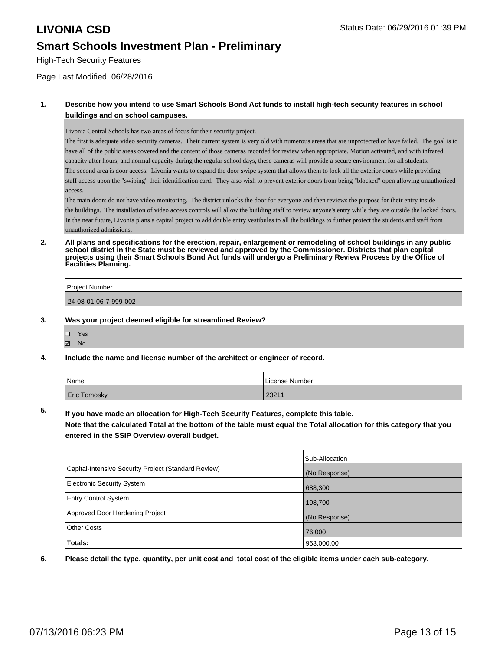High-Tech Security Features

Page Last Modified: 06/28/2016

### **1. Describe how you intend to use Smart Schools Bond Act funds to install high-tech security features in school buildings and on school campuses.**

Livonia Central Schools has two areas of focus for their security project.

The first is adequate video security cameras. Their current system is very old with numerous areas that are unprotected or have failed. The goal is to have all of the public areas covered and the content of those cameras recorded for review when appropriate. Motion activated, and with infrared capacity after hours, and normal capacity during the regular school days, these cameras will provide a secure environment for all students. The second area is door access. Livonia wants to expand the door swipe system that allows them to lock all the exterior doors while providing staff access upon the "swiping" their identification card. They also wish to prevent exterior doors from being "blocked" open allowing unauthorized access.

The main doors do not have video monitoring. The district unlocks the door for everyone and then reviews the purpose for their entry inside the buildings. The installation of video access controls will allow the building staff to review anyone's entry while they are outside the locked doors. In the near future, Livonia plans a capital project to add double entry vestibules to all the buildings to further protect the students and staff from unauthorized admissions.

**2. All plans and specifications for the erection, repair, enlargement or remodeling of school buildings in any public school district in the State must be reviewed and approved by the Commissioner. Districts that plan capital projects using their Smart Schools Bond Act funds will undergo a Preliminary Review Process by the Office of Facilities Planning.** 

| Project Number        |
|-----------------------|
| 24-08-01-06-7-999-002 |
|                       |

### **3. Was your project deemed eligible for streamlined Review?**

□ Yes **Z** No

### **4. Include the name and license number of the architect or engineer of record.**

| Name         | License Number |
|--------------|----------------|
| Eric Tomosky | 2321'          |

**5. If you have made an allocation for High-Tech Security Features, complete this table.**

**Note that the calculated Total at the bottom of the table must equal the Total allocation for this category that you entered in the SSIP Overview overall budget.**

|                                                      | Sub-Allocation |
|------------------------------------------------------|----------------|
| Capital-Intensive Security Project (Standard Review) | (No Response)  |
| <b>Electronic Security System</b>                    | 688,300        |
| <b>Entry Control System</b>                          | 198,700        |
| Approved Door Hardening Project                      | (No Response)  |
| <b>Other Costs</b>                                   | 76,000         |
| Totals:                                              | 963,000.00     |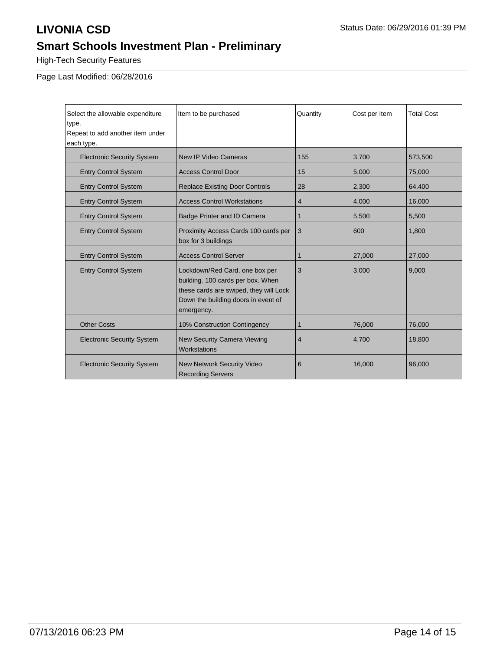High-Tech Security Features

Page Last Modified: 06/28/2016

| Select the allowable expenditure<br>type.<br>Repeat to add another item under<br>each type. | Item to be purchased                                                                                                                                               | Quantity | Cost per Item | <b>Total Cost</b> |
|---------------------------------------------------------------------------------------------|--------------------------------------------------------------------------------------------------------------------------------------------------------------------|----------|---------------|-------------------|
| <b>Electronic Security System</b>                                                           | New IP Video Cameras                                                                                                                                               | 155      | 3,700         | 573,500           |
| <b>Entry Control System</b>                                                                 | <b>Access Control Door</b>                                                                                                                                         | 15       | 5,000         | 75,000            |
| <b>Entry Control System</b>                                                                 | <b>Replace Existing Door Controls</b>                                                                                                                              | 28       | 2,300         | 64,400            |
| <b>Entry Control System</b>                                                                 | <b>Access Control Workstations</b>                                                                                                                                 | 4        | 4,000         | 16,000            |
| <b>Entry Control System</b>                                                                 | Badge Printer and ID Camera                                                                                                                                        | 1        | 5,500         | 5,500             |
| <b>Entry Control System</b>                                                                 | Proximity Access Cards 100 cards per<br>box for 3 buildings                                                                                                        | 3        | 600           | 1.800             |
| <b>Entry Control System</b>                                                                 | <b>Access Control Server</b>                                                                                                                                       | 1        | 27,000        | 27,000            |
| <b>Entry Control System</b>                                                                 | Lockdown/Red Card, one box per<br>building. 100 cards per box. When<br>these cards are swiped, they will Lock<br>Down the building doors in event of<br>emergency. | 3        | 3,000         | 9,000             |
| <b>Other Costs</b>                                                                          | 10% Construction Contingency                                                                                                                                       | 1        | 76,000        | 76,000            |
| <b>Electronic Security System</b>                                                           | <b>New Security Camera Viewing</b><br>Workstations                                                                                                                 | 4        | 4,700         | 18,800            |
| <b>Electronic Security System</b>                                                           | <b>New Network Security Video</b><br><b>Recording Servers</b>                                                                                                      | 6        | 16,000        | 96,000            |